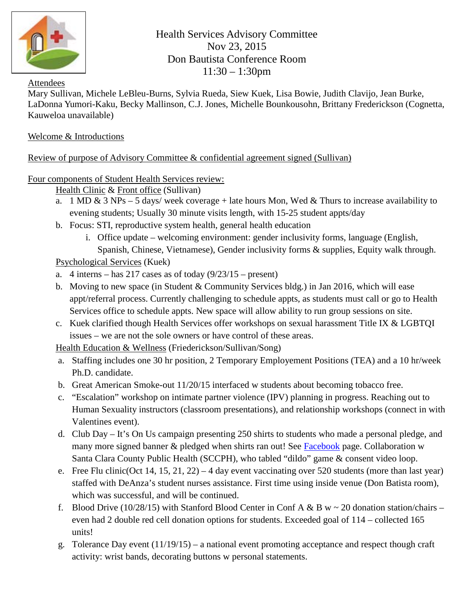

Health Services Advisory Committee Nov 23, 2015 Don Bautista Conference Room 11:30 – 1:30pm

## Attendees

Mary Sullivan, Michele LeBleu-Burns, Sylvia Rueda, Siew Kuek, Lisa Bowie, Judith Clavijo, Jean Burke, LaDonna Yumori-Kaku, Becky Mallinson, C.J. Jones, Michelle Bounkousohn, Brittany Frederickson (Cognetta, Kauweloa unavailable)

## Welcome & Introductions

## Review of purpose of Advisory Committee & confidential agreement signed (Sullivan)

Four components of Student Health Services review:

Health Clinic & Front office (Sullivan)

- a. 1 MD & 3 NPs 5 days/ week coverage + late hours Mon, Wed & Thurs to increase availability to evening students; Usually 30 minute visits length, with 15-25 student appts/day
- b. Focus: STI, reproductive system health, general health education
	- i. Office update welcoming environment: gender inclusivity forms, language (English, Spanish, Chinese, Vietnamese), Gender inclusivity forms & supplies, Equity walk through.

Psychological Services (Kuek)

- a. 4 interns has  $217$  cases as of today  $(9/23/15 -$  present)
- b. Moving to new space (in Student & Community Services bldg.) in Jan 2016, which will ease appt/referral process. Currently challenging to schedule appts, as students must call or go to Health Services office to schedule appts. New space will allow ability to run group sessions on site.
- c. Kuek clarified though Health Services offer workshops on sexual harassment Title IX & LGBTQI issues – we are not the sole owners or have control of these areas.

Health Education & Wellness (Friederickson/Sullivan/Song)

- a. Staffing includes one 30 hr position, 2 Temporary Employement Positions (TEA) and a 10 hr/week Ph.D. candidate.
- b. Great American Smoke-out 11/20/15 interfaced w students about becoming tobacco free.
- c. "Escalation" workshop on intimate partner violence (IPV) planning in progress. Reaching out to Human Sexuality instructors (classroom presentations), and relationship workshops (connect in with Valentines event).
- d. Club Day It's On Us campaign presenting 250 shirts to students who made a personal pledge, and many more signed banner & pledged when shirts ran out! See [Facebook](https://www.facebook.com/De-Anza-College-Health-Services-122151154513576/) page. Collaboration w Santa Clara County Public Health (SCCPH), who tabled "dildo" game & consent video loop.
- e. Free Flu clinic(Oct 14, 15, 21, 22) 4 day event vaccinating over 520 students (more than last year) staffed with DeAnza's student nurses assistance. First time using inside venue (Don Batista room), which was successful, and will be continued.
- f. Blood Drive (10/28/15) with Stanford Blood Center in Conf A & B w  $\sim$  20 donation station/chairs even had 2 double red cell donation options for students. Exceeded goal of 114 – collected 165 units!
- g. Tolerance Day event (11/19/15) a national event promoting acceptance and respect though craft activity: wrist bands, decorating buttons w personal statements.